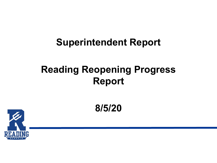#### **Superintendent Report**

#### **Reading Reopening Progress Report**

**8/5/20**

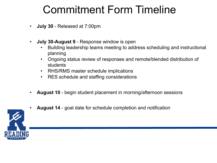### Commitment Form Timeline

- **July 30** Released at 7:00pm
- **July 30-August 9** Response window is open
	- Building leadership teams meeting to address scheduling and instructional planning
	- Ongoing status review of responses and remote/blended distribution of students
	- RHS/RMS master schedule implications
	- RES schedule and staffing considerations
- **August 10** begin student placement in morning/afternoon sessions
- **August 14** goal date for schedule completion and notification

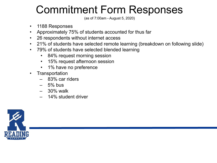### Commitment Form Responses

(as of 7:00am - August 5, 2020)

- 1188 Responses
- Approximately 75% of students accounted for thus far
- 26 respondents without internet access
- 21% of students have selected remote learning (breakdown on following slide)
- 79% of students have selected blended learning
	- 84% request morning session
	- 15% request afternoon session
	- 1% have no preference
- Transportation
	- 83% car riders
	- $-5%$  bus
	- $-30\%$  walk
	- 14% student driver

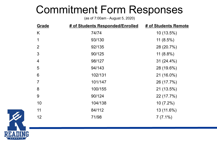#### Commitment Form Responses

(as of 7:00am - August 5, 2020)

| Grade          | # of Students Responded/Enrolled | # of Students Remote |
|----------------|----------------------------------|----------------------|
| K              | 74/74                            | $10(13.5\%)$         |
| 1              | 93/130                           | 11 $(8.5\%)$         |
| $\overline{2}$ | 92/135                           | 28 (20.7%)           |
| 3              | 90/125                           | 11 $(8.8\%)$         |
| $\overline{4}$ | 98/127                           | $31(24.4\%)$         |
| 5              | 94/143                           | 28 (19.6%)           |
| 6              | 102/131                          | 21 (16.0%)           |
| $\overline{7}$ | 101/147                          | 26 (17.7%)           |
| 8              | 100/155                          | 21 (13.5%)           |
| 9              | 90/124                           | 22 (17.7%)           |
| 10             | 104/138                          | $10(7.2\%)$          |
| 11             | 84/112                           | 13 (11.6%)           |
| 12             | 71/98                            | $7(7.1\%)$           |
|                |                                  |                      |

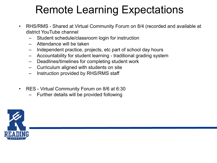### Remote Learning Expectations

- RHS/RMS Shared at Virtual Community Forum on 8/4 (recorded and available at district YouTube channel
	- Student schedule/classroom login for instruction
	- Attendance will be taken
	- Independent practice, projects, etc part of school day hours
	- Accountability for student learning traditional grading system
	- Deadlines/timelines for completing student work
	- Curriculum aligned with students on site
	- Instruction provided by RHS/RMS staff
- RES Virtual Community Forum on 8/6 at 6:30
	- Further details will be provided following

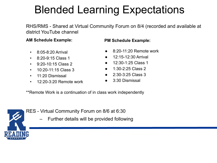## Blended Learning Expectations

RHS/RMS - Shared at Virtual Community Forum on 8/4 (recorded and available at district YouTube channel

#### **AM Schedule Example:**

- 8:05-8:20 Arrival
- 8:20-9:15 Class 1
- 9:20-10:15 Class 2
- 10:20-11:15 Class 3
- 11:20 Dismissal
- 12:20-3:20 Remote work

#### **PM Schedule Example:**

- 8:20-11:20 Remote work
- 12:15-12:30 Arrival
- 12:30-1:25 Class 1
- 1:30-2:25 Class 2
- 2:30-3:25 Class 3
- 3:30 Dismissal

\*\*Remote Work is a continuation of in class work independently



RES - Virtual Community Forum on 8/6 at 6:30

– Further details will be provided following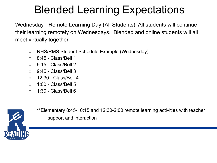## Blended Learning Expectations

Wednesday - Remote Learning Day (All Students): All students will continue their learning remotely on Wednesdays. Blended and online students will all meet virtually together.

- RHS/RMS Student Schedule Example (Wednesday):
- 8:45 Class/Bell 1
- 9:15 Class/Bell 2
- 9:45 Class/Bell 3
- 12:30 Class/Bell 4
- 1:00 Class/Bell 5
- 1:30 Class/Bell 6



\*\*Elementary 8:45-10:15 and 12:30-2:00 remote learning activities with teacher support and interaction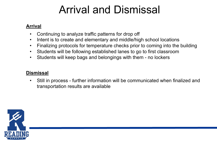### Arrival and Dismissal

#### **Arrival**

- Continuing to analyze traffic patterns for drop off
- Intent is to create and elementary and middle/high school locations
- Finalizing protocols for temperature checks prior to coming into the building
- Students will be following established lanes to go to first classroom
- Students will keep bags and belongings with them no lockers

#### **Dismissal**

• Still in process - further information will be communicated when finalized and transportation results are available

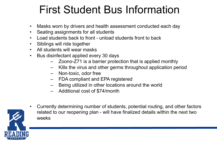### First Student Bus Information

- Masks worn by drivers and health assessment conducted each day
- Seating assignments for all students
- Load students back to front unload students front to back
- Siblings will ride together
- All students will wear masks
- Bus disinfectant applied every 30 days
	- Zoono-Z71 is a barrier protection that is applied monthly
	- Kills the virus and other germs throughout application period
	- Non-toxic, odor free
	- FDA compliant and EPA registered
	- Being utilized in other locations around the world
	- Additional cost of \$74/month



• Currently determining number of students, potential routing, and other factors related to our reopening plan - will have finalized details within the next two weeks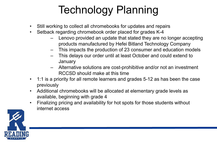# Technology Planning

- Still working to collect all chromebooks for updates and repairs
- Setback regarding chromebook order placed for grades K-4
	- Lenovo provided an update that stated they are no longer accepting products manufactured by Hefei Bitland Technology Company
	- This impacts the production of 23 consumer and education models
	- This delays our order until at least October and could extend to **January**
	- Alternative solutions are cost-prohibitive and/or not an investment RCCSD should make at this time
- 1:1 is a priority for all remote learners and grades 5-12 as has been the case previously
- Additional chromebooks will be allocated at elementary grade levels as available, beginning with grade 4
- Finalizing pricing and availability for hot spots for those students without internet access

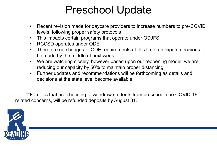#### Preschool Update

- Recent revision made for daycare providers to increase numbers to pre-COVID levels, following proper safety protocols
- This impacts certain programs that operate under ODJFS
- RCCSD operates under ODE
- There are no changes to ODE requirements at this time; anticipate decisions to be made by the middle of next week
- We are watching closely, however based upon our reopening model, we are reducing our capacity by 50% to maintain proper distancing
- Further updates and recommendations will be forthcoming as details and decisions at the state level become available

\*\*Families that are choosing to withdraw students from preschool due COVID-19 related concerns, will be refunded deposits by August 31.